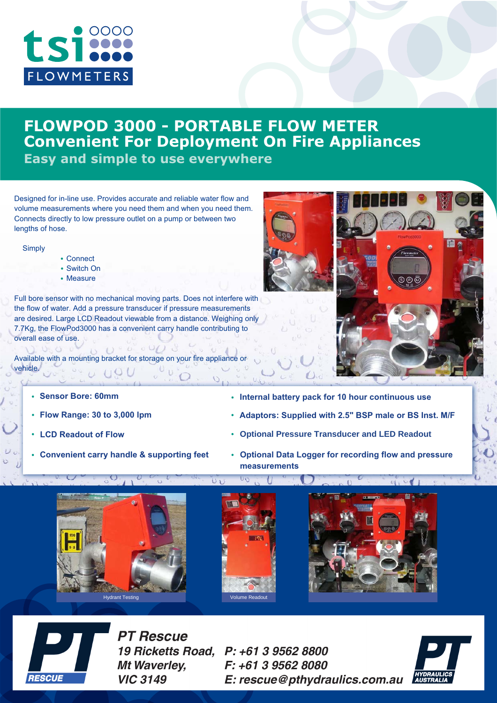

# **FLOWPOD 3000 - PORTABLE FLOW METER Convenient For Deployment On Fire Appliances Easy and simple to use everywhere**

Designed for in-line use. Provides accurate and reliable water flow and volume measurements where you need them and when you need them. Connects directly to low pressure outlet on a pump or between two lengths of hose.

**Simply** 

- Connect
- Switch On
- Measure

Full bore sensor with no mechanical moving parts. Does not interfere with the flow of water. Add a pressure transducer if pressure measurements are desired. Large LCD Readout viewable from a distance. Weighing only 7.7Kg, the FlowPod3000 has a convenient carry handle contributing to overall ease of use.

 $U = U = 0$ 1 0 0 0 Available with a mounting bracket for storage on your fire appliance or vehicle.  $\sigma$  (10 U



- **Sensor Bore: 60mm**
- **Flow Range: 30 to 3,000 lpm**
- **LCD Readout of Flow**
- 
- **Internal battery pack for 10 hour continuous use**
- **Adaptors: Supplied with 2.5" BSP male or BS Inst. M/F**
- **Optional Pressure Transducer and LED Readout**
- **Convenient carry handle & supporting feet •** Optional Data Logger for recording flow and pressure **measurements**





**PT Rescue** 19 Ricketts Road, P: +61 3 9562 8800 **Mt Waverley. VIC 3149** 

F: +61 3 9562 8080 E: rescue@pthydraulics.com.au